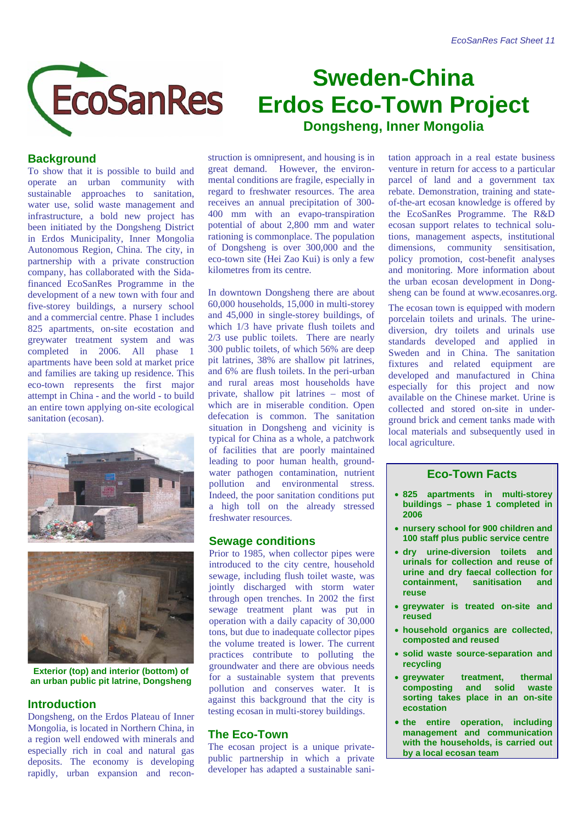

# **Sweden-China Erdos Eco-Town Project Dongsheng, Inner Mongolia**

# **Background**

To show that it is possible to build and operate an urban community with sustainable approaches to sanitation, water use, solid waste management and infrastructure, a bold new project has been initiated by the Dongsheng District in Erdos Municipality, Inner Mongolia Autonomous Region, China. The city, in partnership with a private construction company, has collaborated with the Sidafinanced EcoSanRes Programme in the development of a new town with four and five-storey buildings, a nursery school and a commercial centre. Phase 1 includes 825 apartments, on-site ecostation and greywater treatment system and was completed in 2006. All phase 1 apartments have been sold at market price and families are taking up residence. This eco-town represents the first major attempt in China - and the world - to build an entire town applying on-site ecological sanitation (ecosan).





**Exterior (top) and interior (bottom) of an urban public pit latrine, Dongsheng** 

## **Introduction**

Dongsheng, on the Erdos Plateau of Inner Mongolia, is located in Northern China, in a region well endowed with minerals and especially rich in coal and natural gas deposits. The economy is developing rapidly, urban expansion and reconstruction is omnipresent, and housing is in great demand. However, the environmental conditions are fragile, especially in regard to freshwater resources. The area receives an annual precipitation of 300- 400 mm with an evapo-transpiration potential of about 2,800 mm and water rationing is commonplace. The population of Dongsheng is over 300,000 and the eco-town site (Hei Zao Kui) is only a few kilometres from its centre.

In downtown Dongsheng there are about 60,000 households, 15,000 in multi-storey and 45,000 in single-storey buildings, of which  $1/3$  have private flush toilets and 2/3 use public toilets. There are nearly 300 public toilets, of which 56% are deep pit latrines, 38% are shallow pit latrines, and 6% are flush toilets. In the peri-urban and rural areas most households have private, shallow pit latrines – most of which are in miserable condition. Open defecation is common. The sanitation situation in Dongsheng and vicinity is typical for China as a whole, a patchwork of facilities that are poorly maintained leading to poor human health, groundwater pathogen contamination, nutrient pollution and environmental stress. Indeed, the poor sanitation conditions put a high toll on the already stressed freshwater resources.

#### **Sewage conditions**

Prior to 1985, when collector pipes were introduced to the city centre, household sewage, including flush toilet waste, was jointly discharged with storm water through open trenches. In 2002 the first sewage treatment plant was put in operation with a daily capacity of 30,000 tons, but due to inadequate collector pipes the volume treated is lower. The current practices contribute to polluting the groundwater and there are obvious needs for a sustainable system that prevents pollution and conserves water. It is against this background that the city is testing ecosan in multi-storey buildings.

# **The Eco-Town**

The ecosan project is a unique privatepublic partnership in which a private developer has adapted a sustainable sanitation approach in a real estate business venture in return for access to a particular parcel of land and a government tax rebate. Demonstration, training and stateof-the-art ecosan knowledge is offered by the EcoSanRes Programme. The R&D ecosan support relates to technical solutions, management aspects, institutional dimensions, community sensitisation, policy promotion, cost-benefit analyses and monitoring. More information about the urban ecosan development in Dongsheng can be found at www.ecosanres.org.

The ecosan town is equipped with modern porcelain toilets and urinals. The urinediversion, dry toilets and urinals use standards developed and applied in Sweden and in China. The sanitation fixtures and related equipment are developed and manufactured in China especially for this project and now available on the Chinese market. Urine is collected and stored on-site in underground brick and cement tanks made with local materials and subsequently used in local agriculture.

## **Eco-Town Facts**

- **825 apartments in multi-storey buildings – phase 1 completed in 2006**
- **nursery school for 900 children and 100 staff plus public service centre**
- **dry urine-diversion toilets and urinals for collection and reuse of urine and dry faecal collection for containment, sanitisation and reuse**
- **greywater is treated on-site and reused**
- **household organics are collected, composted and reused**
- **solid waste source-separation and recycling**
- **greywater treatment, thermal composting and solid waste sorting takes place in an on-site ecostation**
- **the entire operation, including management and communication with the households, is carried out by a local ecosan team**